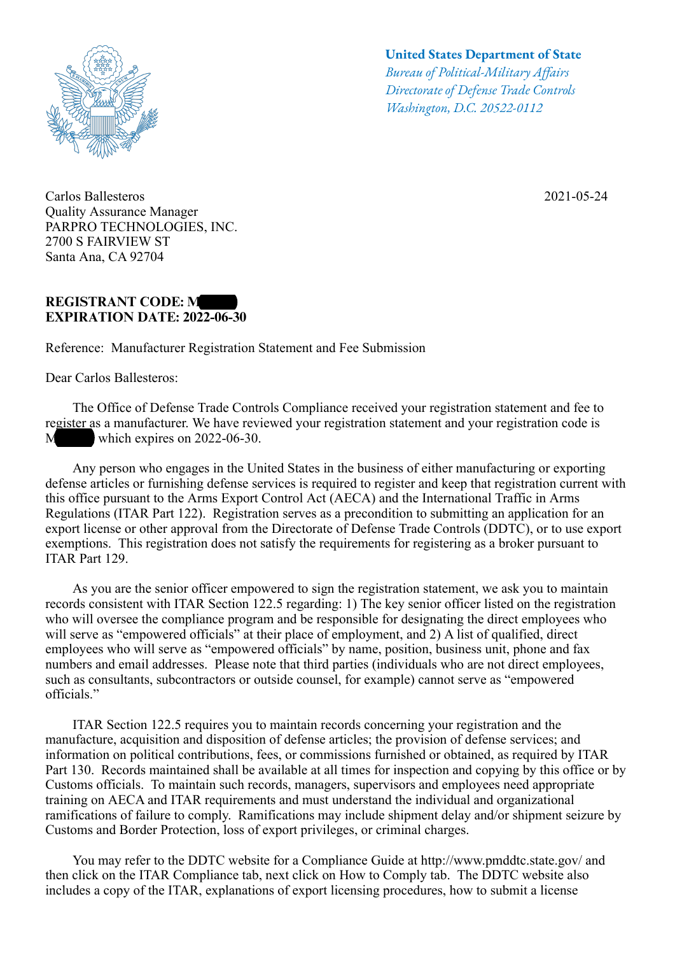

Carlos Ballesteros Quality Assurance Manager PARPRO TECHNOLOGIES, INC. 2700 S FAIRVIEW ST Santa Ana, CA 92704

## **REGISTRANT CODE: M EXPIRATION DATE: 2022-06-30**

Reference: Manufacturer Registration Statement and Fee Submission

Dear Carlos Ballesteros:

## **United States Department of State**

*Bureau of Political-Military Afairs Directorate of Defense Trade Controls Washington, D.C. 20522-0112*

2021-05-24

 The Office of Defense Trade Controls Compliance received your registration statement and fee to register as a manufacturer. We have reviewed your registration statement and your registration code is M which expires on  $2022-06-30$ .

 Any person who engages in the United States in the business of either manufacturing or exporting defense articles or furnishing defense services is required to register and keep that registration current with this office pursuant to the Arms Export Control Act (AECA) and the International Traffic in Arms Regulations (ITAR Part 122). Registration serves as a precondition to submitting an application for an export license or other approval from the Directorate of Defense Trade Controls (DDTC), or to use export exemptions. This registration does not satisfy the requirements for registering as a broker pursuant to ITAR Part 129.

 As you are the senior officer empowered to sign the registration statement, we ask you to maintain records consistent with ITAR Section 122.5 regarding: 1) The key senior officer listed on the registration who will oversee the compliance program and be responsible for designating the direct employees who will serve as "empowered officials" at their place of employment, and 2) A list of qualified, direct employees who will serve as "empowered officials" by name, position, business unit, phone and fax numbers and email addresses. Please note that third parties (individuals who are not direct employees, such as consultants, subcontractors or outside counsel, for example) cannot serve as "empowered officials."

 ITAR Section 122.5 requires you to maintain records concerning your registration and the manufacture, acquisition and disposition of defense articles; the provision of defense services; and information on political contributions, fees, or commissions furnished or obtained, as required by ITAR Part 130. Records maintained shall be available at all times for inspection and copying by this office or by Customs officials. To maintain such records, managers, supervisors and employees need appropriate training on AECA and ITAR requirements and must understand the individual and organizational ramifications of failure to comply. Ramifications may include shipment delay and/or shipment seizure by Customs and Border Protection, loss of export privileges, or criminal charges.

 You may refer to the DDTC website for a Compliance Guide at http://www.pmddtc.state.gov/ and then click on the ITAR Compliance tab, next click on How to Comply tab. The DDTC website also includes a copy of the ITAR, explanations of export licensing procedures, how to submit a license